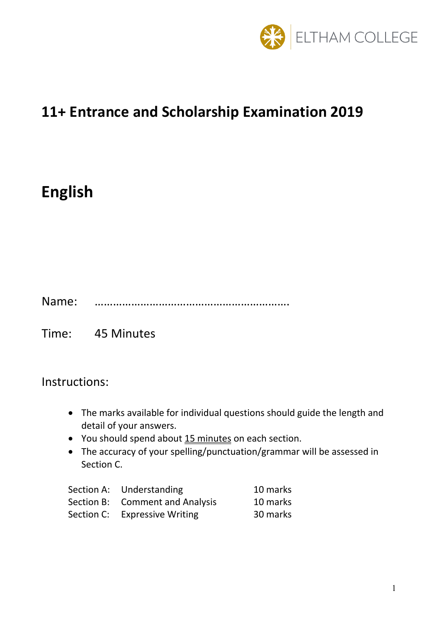

## **11+ Entrance and Scholarship Examination 2019**

# **English**

Name: ……………………………………………………….

Time: 45 Minutes

Instructions:

- The marks available for individual questions should guide the length and detail of your answers.
- You should spend about 15 minutes on each section.
- The accuracy of your spelling/punctuation/grammar will be assessed in Section C.

| Section A: Understanding        | 10 marks |
|---------------------------------|----------|
| Section B: Comment and Analysis | 10 marks |
| Section C: Expressive Writing   | 30 marks |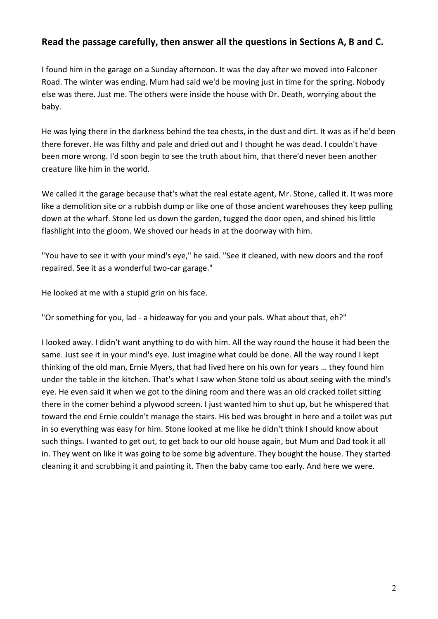#### **Read the passage carefully, then answer all the questions in Sections A, B and C.**

I found him in the garage on a Sunday afternoon. It was the day after we moved into Falconer Road. The winter was ending. Mum had said we'd be moving just in time for the spring. Nobody else was there. Just me. The others were inside the house with Dr. Death, worrying about the baby.

He was lying there in the darkness behind the tea chests, in the dust and dirt. It was as if he'd been there forever. He was filthy and pale and dried out and I thought he was dead. I couldn't have been more wrong. I'd soon begin to see the truth about him, that there'd never been another creature like him in the world.

We called it the garage because that's what the real estate agent, Mr. Stone, called it. It was more like a demolition site or a rubbish dump or like one of those ancient warehouses they keep pulling down at the wharf. Stone led us down the garden, tugged the door open, and shined his little flashlight into the gloom. We shoved our heads in at the doorway with him.

"You have to see it with your mind's eye," he said. "See it cleaned, with new doors and the roof repaired. See it as a wonderful two-car garage."

He looked at me with a stupid grin on his face.

"Or something for you, lad - a hideaway for you and your pals. What about that, eh?"

I looked away. I didn't want anything to do with him. All the way round the house it had been the same. Just see it in your mind's eye. Just imagine what could be done. All the way round I kept thinking of the old man, Ernie Myers, that had lived here on his own for years … they found him under the table in the kitchen. That's what I saw when Stone told us about seeing with the mind's eye. He even said it when we got to the dining room and there was an old cracked toilet sitting there in the comer behind a plywood screen. I just wanted him to shut up, but he whispered that toward the end Ernie couldn't manage the stairs. His bed was brought in here and a toilet was put in so everything was easy for him. Stone looked at me like he didn't think I should know about such things. I wanted to get out, to get back to our old house again, but Mum and Dad took it all in. They went on like it was going to be some big adventure. They bought the house. They started cleaning it and scrubbing it and painting it. Then the baby came too early. And here we were.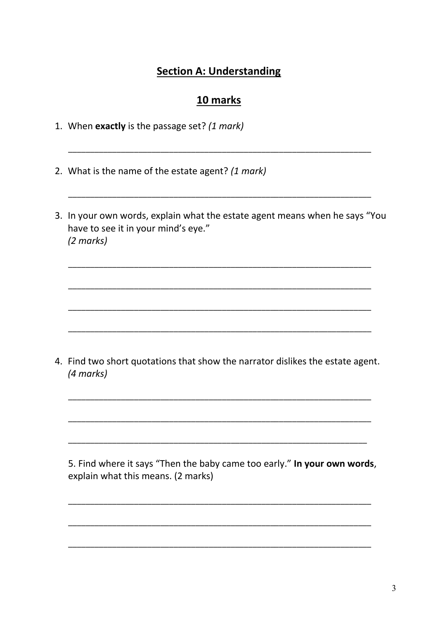## **Section A: Understanding**

#### 10 marks

- 1. When exactly is the passage set? (1 mark)
- 2. What is the name of the estate agent? (1 mark)
- 3. In your own words, explain what the estate agent means when he says "You have to see it in your mind's eye."  $(2 \text{ marks})$

4. Find two short quotations that show the narrator dislikes the estate agent. (4 marks)

5. Find where it says "Then the baby came too early." In your own words, explain what this means. (2 marks)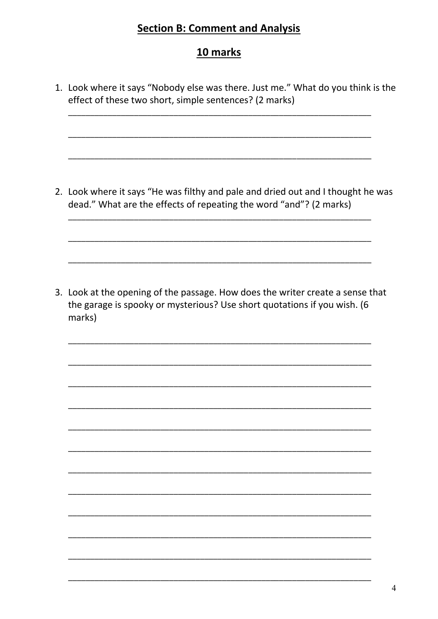## **Section B: Comment and Analysis**

## 10 marks

1. Look where it says "Nobody else was there. Just me." What do you think is the effect of these two short, simple sentences? (2 marks)

2. Look where it says "He was filthy and pale and dried out and I thought he was dead." What are the effects of repeating the word "and"? (2 marks)

3. Look at the opening of the passage. How does the writer create a sense that the garage is spooky or mysterious? Use short quotations if you wish. (6 marks)